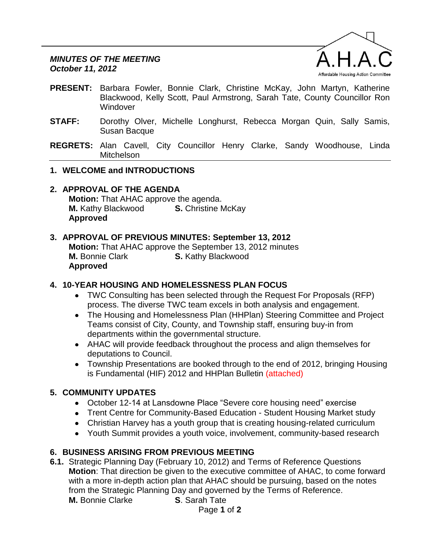

- **PRESENT:** Barbara Fowler, Bonnie Clark, Christine McKay, John Martyn, Katherine Blackwood, Kelly Scott, Paul Armstrong, Sarah Tate, County Councillor Ron Windover
- **STAFF:** Dorothy Olver, Michelle Longhurst, Rebecca Morgan Quin, Sally Samis, Susan Bacque
- **REGRETS:** Alan Cavell, City Councillor Henry Clarke, Sandy Woodhouse, Linda Mitchelson
- **1. WELCOME and INTRODUCTIONS**
- **2. APPROVAL OF THE AGENDA Motion:** That AHAC approve the agenda. **M.** Kathy Blackwood **S.** Christine McKay **Approved**

## **3. APPROVAL OF PREVIOUS MINUTES: September 13, 2012**

**Motion:** That AHAC approve the September 13, 2012 minutes **M.** Bonnie Clark **S.** Kathy Blackwood **Approved**

## **4. 10-YEAR HOUSING AND HOMELESSNESS PLAN FOCUS**

- TWC Consulting has been selected through the Request For Proposals (RFP) process. The diverse TWC team excels in both analysis and engagement.
- The Housing and Homelessness Plan (HHPlan) Steering Committee and Project Teams consist of City, County, and Township staff, ensuring buy-in from departments within the governmental structure.
- AHAC will provide feedback throughout the process and align themselves for deputations to Council.
- Township Presentations are booked through to the end of 2012, bringing Housing is Fundamental (HIF) 2012 and HHPlan Bulletin (attached)

# **5. COMMUNITY UPDATES**

- October 12-14 at Lansdowne Place "Severe core housing need" exercise
- Trent Centre for Community-Based Education Student Housing Market study
- Christian Harvey has a youth group that is creating housing-related curriculum
- Youth Summit provides a youth voice, involvement, community-based research

# **6. BUSINESS ARISING FROM PREVIOUS MEETING**

**6.1.** Strategic Planning Day (February 10, 2012) and Terms of Reference Questions **Motion**: That direction be given to the executive committee of AHAC, to come forward with a more in-depth action plan that AHAC should be pursuing, based on the notes from the Strategic Planning Day and governed by the Terms of Reference. **M.** Bonnie Clarke **S**. Sarah Tate

Page **1** of **2**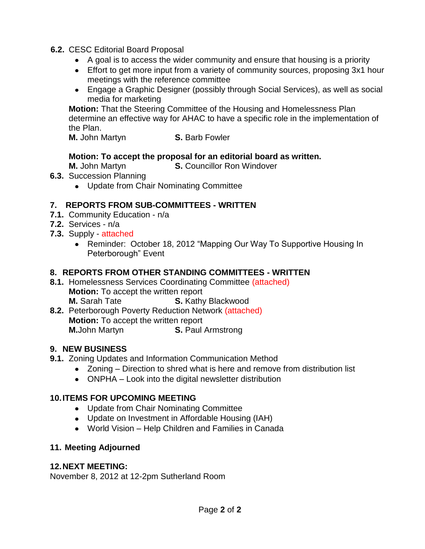- **6.2.** CESC Editorial Board Proposal
	- A goal is to access the wider community and ensure that housing is a priority
	- Effort to get more input from a variety of community sources, proposing 3x1 hour meetings with the reference committee
	- Engage a Graphic Designer (possibly through Social Services), as well as social media for marketing

**Motion:** That the Steering Committee of the Housing and Homelessness Plan determine an effective way for AHAC to have a specific role in the implementation of the Plan.

**M.** John Martyn **S. Barb Fowler** 

## **Motion: To accept the proposal for an editorial board as written.**

**M.** John Martyn **S. Councillor Ron Windover** 

- **6.3.** Succession Planning
	- Update from Chair Nominating Committee

# **7. REPORTS FROM SUB-COMMITTEES - WRITTEN**

- **7.1.** Community Education n/a
- **7.2.** Services n/a
- **7.3.** Supply attached
	- Reminder: October 18, 2012 "Mapping Our Way To Supportive Housing In Peterborough" Event

## **8. REPORTS FROM OTHER STANDING COMMITTEES - WRITTEN**

- **8.1.** Homelessness Services Coordinating Committee (attached) **Motion:** To accept the written report **M.** Sarah Tate **S.** Kathy Blackwood
- **8.2.** Peterborough Poverty Reduction Network (attached) **Motion:** To accept the written report **M.**John Martyn **S. Paul Armstrong**

# **9. NEW BUSINESS**

- **9.1.** Zoning Updates and Information Communication Method
	- Zoning Direction to shred what is here and remove from distribution list
	- ONPHA Look into the digital newsletter distribution

# **10.ITEMS FOR UPCOMING MEETING**

- Update from Chair Nominating Committee
- Update on Investment in Affordable Housing (IAH)
- World Vision Help Children and Families in Canada

# **11. Meeting Adjourned**

## **12.NEXT MEETING:**

November 8, 2012 at 12-2pm Sutherland Room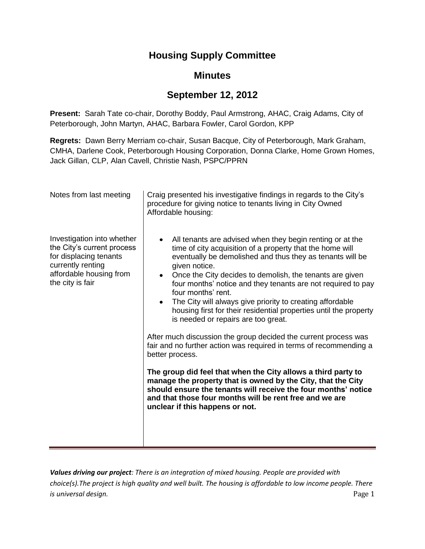# **Housing Supply Committee**

# **Minutes**

# **September 12, 2012**

**Present:** Sarah Tate co-chair, Dorothy Boddy, Paul Armstrong, AHAC, Craig Adams, City of Peterborough, John Martyn, AHAC, Barbara Fowler, Carol Gordon, KPP

**Regrets:** Dawn Berry Merriam co-chair, Susan Bacque, City of Peterborough, Mark Graham, CMHA, Darlene Cook, Peterborough Housing Corporation, Donna Clarke, Home Grown Homes, Jack Gillan, CLP, Alan Cavell, Christie Nash, PSPC/PPRN

| Notes from last meeting                                                                                                                                | Craig presented his investigative findings in regards to the City's<br>procedure for giving notice to tenants living in City Owned<br>Affordable housing:                                                                                                                                                                                                                                                                                                                                                                                                                                                                                                                                                                                                                                                                                                                                                                                                                                                                           |
|--------------------------------------------------------------------------------------------------------------------------------------------------------|-------------------------------------------------------------------------------------------------------------------------------------------------------------------------------------------------------------------------------------------------------------------------------------------------------------------------------------------------------------------------------------------------------------------------------------------------------------------------------------------------------------------------------------------------------------------------------------------------------------------------------------------------------------------------------------------------------------------------------------------------------------------------------------------------------------------------------------------------------------------------------------------------------------------------------------------------------------------------------------------------------------------------------------|
| Investigation into whether<br>the City's current process<br>for displacing tenants<br>currently renting<br>affordable housing from<br>the city is fair | All tenants are advised when they begin renting or at the<br>$\bullet$<br>time of city acquisition of a property that the home will<br>eventually be demolished and thus they as tenants will be<br>given notice.<br>Once the City decides to demolish, the tenants are given<br>$\bullet$<br>four months' notice and they tenants are not required to pay<br>four months' rent.<br>The City will always give priority to creating affordable<br>$\bullet$<br>housing first for their residential properties until the property<br>is needed or repairs are too great.<br>After much discussion the group decided the current process was<br>fair and no further action was required in terms of recommending a<br>better process.<br>The group did feel that when the City allows a third party to<br>manage the property that is owned by the City, that the City<br>should ensure the tenants will receive the four months' notice<br>and that those four months will be rent free and we are<br>unclear if this happens or not. |

*Values driving our project: There is an integration of mixed housing. People are provided with choice(s).The project is high quality and well built. The housing is affordable to low income people. There is universal design.* Page 1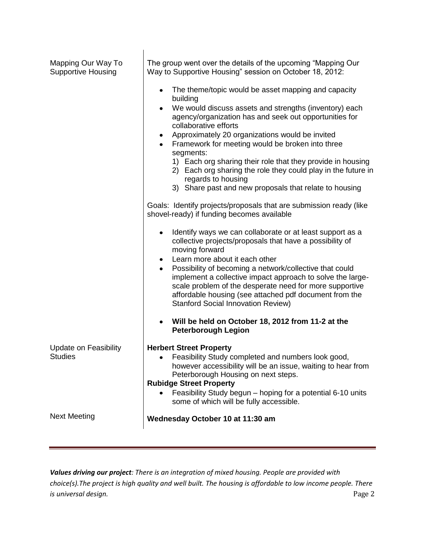| Mapping Our Way To<br><b>Supportive Housing</b> | The group went over the details of the upcoming "Mapping Our<br>Way to Supportive Housing" session on October 18, 2012:                                                                                                                                                                                                                             |
|-------------------------------------------------|-----------------------------------------------------------------------------------------------------------------------------------------------------------------------------------------------------------------------------------------------------------------------------------------------------------------------------------------------------|
|                                                 | The theme/topic would be asset mapping and capacity<br>building                                                                                                                                                                                                                                                                                     |
|                                                 | We would discuss assets and strengths (inventory) each<br>$\bullet$<br>agency/organization has and seek out opportunities for<br>collaborative efforts                                                                                                                                                                                              |
|                                                 | Approximately 20 organizations would be invited<br>$\bullet$                                                                                                                                                                                                                                                                                        |
|                                                 | Framework for meeting would be broken into three                                                                                                                                                                                                                                                                                                    |
|                                                 | segments:<br>1) Each org sharing their role that they provide in housing<br>2) Each org sharing the role they could play in the future in<br>regards to housing                                                                                                                                                                                     |
|                                                 | 3) Share past and new proposals that relate to housing                                                                                                                                                                                                                                                                                              |
|                                                 | Goals: Identify projects/proposals that are submission ready (like<br>shovel-ready) if funding becomes available                                                                                                                                                                                                                                    |
|                                                 | Identify ways we can collaborate or at least support as a<br>collective projects/proposals that have a possibility of<br>moving forward                                                                                                                                                                                                             |
|                                                 | Learn more about it each other<br>$\bullet$<br>Possibility of becoming a network/collective that could<br>$\bullet$<br>implement a collective impact approach to solve the large-<br>scale problem of the desperate need for more supportive<br>affordable housing (see attached pdf document from the<br><b>Stanford Social Innovation Review)</b> |
|                                                 | Will be held on October 18, 2012 from 11-2 at the<br>$\bullet$<br><b>Peterborough Legion</b>                                                                                                                                                                                                                                                        |
| <b>Update on Feasibility</b>                    | <b>Herbert Street Property</b>                                                                                                                                                                                                                                                                                                                      |
| <b>Studies</b>                                  | Feasibility Study completed and numbers look good,<br>٠<br>however accessibility will be an issue, waiting to hear from<br>Peterborough Housing on next steps.                                                                                                                                                                                      |
|                                                 | <b>Rubidge Street Property</b>                                                                                                                                                                                                                                                                                                                      |
|                                                 | Feasibility Study begun - hoping for a potential 6-10 units<br>some of which will be fully accessible.                                                                                                                                                                                                                                              |
| <b>Next Meeting</b>                             | Wednesday October 10 at 11:30 am                                                                                                                                                                                                                                                                                                                    |
|                                                 |                                                                                                                                                                                                                                                                                                                                                     |

*Values driving our project: There is an integration of mixed housing. People are provided with choice(s).The project is high quality and well built. The housing is affordable to low income people. There is universal design.* Page 2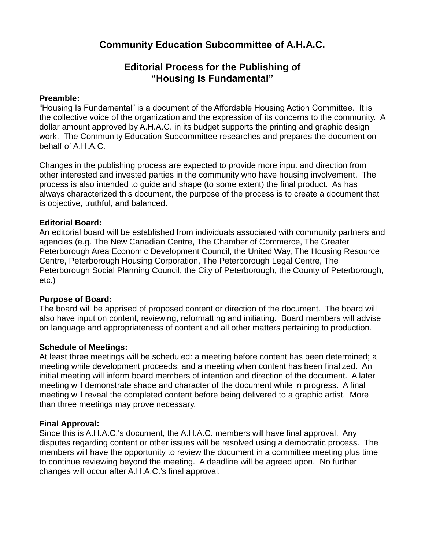# **Community Education Subcommittee of A.H.A.C.**

# **Editorial Process for the Publishing of "Housing Is Fundamental"**

### **Preamble:**

"Housing Is Fundamental" is a document of the Affordable Housing Action Committee. It is the collective voice of the organization and the expression of its concerns to the community. A dollar amount approved by A.H.A.C. in its budget supports the printing and graphic design work. The Community Education Subcommittee researches and prepares the document on behalf of A.H.A.C.

Changes in the publishing process are expected to provide more input and direction from other interested and invested parties in the community who have housing involvement. The process is also intended to guide and shape (to some extent) the final product. As has always characterized this document, the purpose of the process is to create a document that is objective, truthful, and balanced.

### **Editorial Board:**

An editorial board will be established from individuals associated with community partners and agencies (e.g. The New Canadian Centre, The Chamber of Commerce, The Greater Peterborough Area Economic Development Council, the United Way, The Housing Resource Centre, Peterborough Housing Corporation, The Peterborough Legal Centre, The Peterborough Social Planning Council, the City of Peterborough, the County of Peterborough, etc.)

### **Purpose of Board:**

The board will be apprised of proposed content or direction of the document. The board will also have input on content, reviewing, reformatting and initiating. Board members will advise on language and appropriateness of content and all other matters pertaining to production.

### **Schedule of Meetings:**

At least three meetings will be scheduled: a meeting before content has been determined; a meeting while development proceeds; and a meeting when content has been finalized. An initial meeting will inform board members of intention and direction of the document. A later meeting will demonstrate shape and character of the document while in progress. A final meeting will reveal the completed content before being delivered to a graphic artist. More than three meetings may prove necessary.

## **Final Approval:**

Since this is A.H.A.C.'s document, the A.H.A.C. members will have final approval. Any disputes regarding content or other issues will be resolved using a democratic process. The members will have the opportunity to review the document in a committee meeting plus time to continue reviewing beyond the meeting. A deadline will be agreed upon. No further changes will occur after A.H.A.C.'s final approval.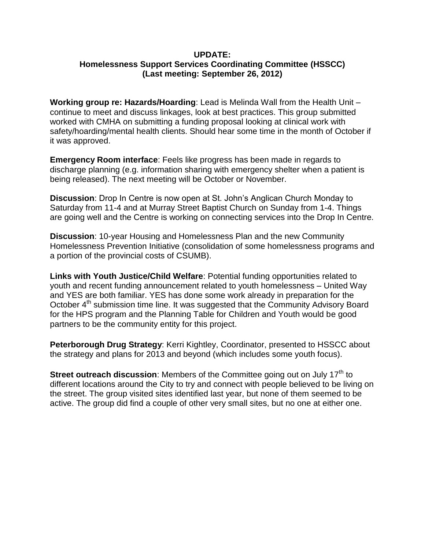#### **UPDATE: Homelessness Support Services Coordinating Committee (HSSCC) (Last meeting: September 26, 2012)**

**Working group re: Hazards/Hoarding**: Lead is Melinda Wall from the Health Unit – continue to meet and discuss linkages, look at best practices. This group submitted worked with CMHA on submitting a funding proposal looking at clinical work with safety/hoarding/mental health clients. Should hear some time in the month of October if it was approved.

**Emergency Room interface**: Feels like progress has been made in regards to discharge planning (e.g. information sharing with emergency shelter when a patient is being released). The next meeting will be October or November.

**Discussion**: Drop In Centre is now open at St. John's Anglican Church Monday to Saturday from 11-4 and at Murray Street Baptist Church on Sunday from 1-4. Things are going well and the Centre is working on connecting services into the Drop In Centre.

**Discussion**: 10-year Housing and Homelessness Plan and the new Community Homelessness Prevention Initiative (consolidation of some homelessness programs and a portion of the provincial costs of CSUMB).

**Links with Youth Justice/Child Welfare**: Potential funding opportunities related to youth and recent funding announcement related to youth homelessness – United Way and YES are both familiar. YES has done some work already in preparation for the October 4<sup>th</sup> submission time line. It was suggested that the Community Advisory Board for the HPS program and the Planning Table for Children and Youth would be good partners to be the community entity for this project.

**Peterborough Drug Strategy**: Kerri Kightley, Coordinator, presented to HSSCC about the strategy and plans for 2013 and beyond (which includes some youth focus).

**Street outreach discussion:** Members of the Committee going out on July 17<sup>th</sup> to different locations around the City to try and connect with people believed to be living on the street. The group visited sites identified last year, but none of them seemed to be active. The group did find a couple of other very small sites, but no one at either one.